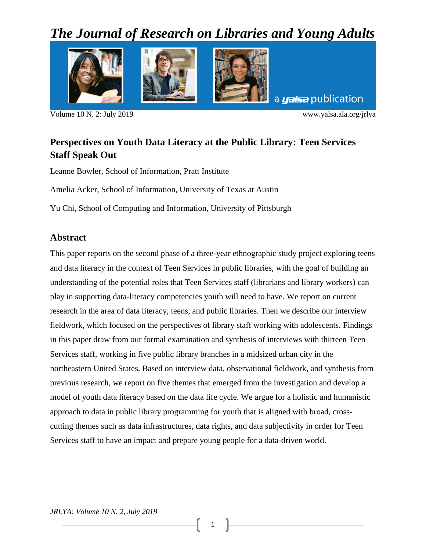# *The Journal of Research on Libraries and Young Adults*



Volume 10 N. 2: July 2019 www.yalsa.ala.org/jrlya

# **Perspectives on Youth Data Literacy at the Public Library: Teen Services Staff Speak Out**

Leanne Bowler, School of Information, Pratt Institute

Amelia Acker, School of Information, University of Texas at Austin

Yu Chi, School of Computing and Information, University of Pittsburgh

# **Abstract**

This paper reports on the second phase of a three-year ethnographic study project exploring teens and data literacy in the context of Teen Services in public libraries, with the goal of building an understanding of the potential roles that Teen Services staff (librarians and library workers) can play in supporting data-literacy competencies youth will need to have. We report on current research in the area of data literacy, teens, and public libraries. Then we describe our interview fieldwork, which focused on the perspectives of library staff working with adolescents. Findings in this paper draw from our formal examination and synthesis of interviews with thirteen Teen Services staff, working in five public library branches in a midsized urban city in the northeastern United States. Based on interview data, observational fieldwork, and synthesis from previous research, we report on five themes that emerged from the investigation and develop a model of youth data literacy based on the data life cycle. We argue for a holistic and humanistic approach to data in public library programming for youth that is aligned with broad, crosscutting themes such as data infrastructures, data rights, and data subjectivity in order for Teen Services staff to have an impact and prepare young people for a data-driven world.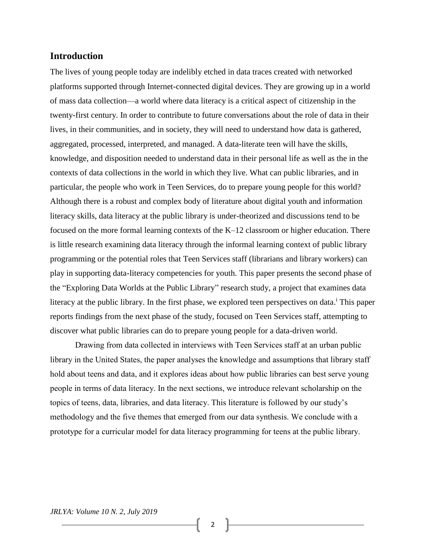#### **Introduction**

The lives of young people today are indelibly etched in data traces created with networked platforms supported through Internet-connected digital devices. They are growing up in a world of mass data collection—a world where data literacy is a critical aspect of citizenship in the twenty-first century. In order to contribute to future conversations about the role of data in their lives, in their communities, and in society, they will need to understand how data is gathered, aggregated, processed, interpreted, and managed. A data-literate teen will have the skills, knowledge, and disposition needed to understand data in their personal life as well as the in the contexts of data collections in the world in which they live. What can public libraries, and in particular, the people who work in Teen Services, do to prepare young people for this world? Although there is a robust and complex body of literature about digital youth and information literacy skills, data literacy at the public library is under-theorized and discussions tend to be focused on the more formal learning contexts of the K–12 classroom or higher education. There is little research examining data literacy through the informal learning context of public library programming or the potential roles that Teen Services staff (librarians and library workers) can play in supporting data-literacy competencies for youth. This paper presents the second phase of the "Exploring Data Worlds at the Public Library" research study, a project that examines data literacy at the public library. In the first phase, we explored teen perspectives on data.<sup>i</sup> This paper reports findings from the next phase of the study, focused on Teen Services staff, attempting to discover what public libraries can do to prepare young people for a data-driven world.

Drawing from data collected in interviews with Teen Services staff at an urban public library in the United States, the paper analyses the knowledge and assumptions that library staff hold about teens and data, and it explores ideas about how public libraries can best serve young people in terms of data literacy. In the next sections, we introduce relevant scholarship on the topics of teens, data, libraries, and data literacy. This literature is followed by our study's methodology and the five themes that emerged from our data synthesis. We conclude with a prototype for a curricular model for data literacy programming for teens at the public library.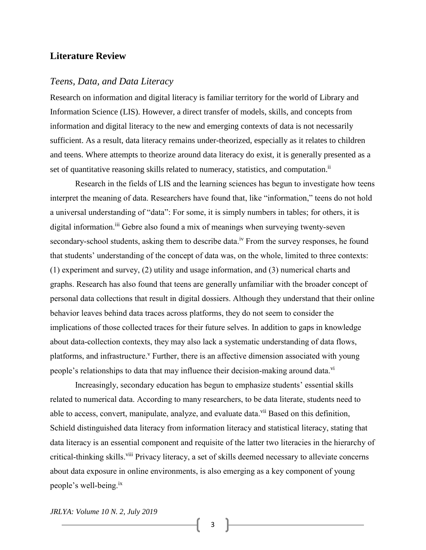## **Literature Review**

#### *Teens, Data, and Data Literacy*

Research on information and digital literacy is familiar territory for the world of Library and Information Science (LIS). However, a direct transfer of models, skills, and concepts from information and digital literacy to the new and emerging contexts of data is not necessarily sufficient. As a result, data literacy remains under-theorized, especially as it relates to children and teens. Where attempts to theorize around data literacy do exist, it is generally presented as a set of quantitative reasoning skills related to numeracy, statistics, and computation.<sup>ii</sup>

Research in the fields of LIS and the learning sciences has begun to investigate how teens interpret the meaning of data. Researchers have found that, like "information," teens do not hold a universal understanding of "data": For some, it is simply numbers in tables; for others, it is digital information.<sup>iii</sup> Gebre also found a mix of meanings when surveying twenty-seven secondary-school students, asking them to describe data.<sup>iv</sup> From the survey responses, he found that students' understanding of the concept of data was, on the whole, limited to three contexts: (1) experiment and survey, (2) utility and usage information, and (3) numerical charts and graphs. Research has also found that teens are generally unfamiliar with the broader concept of personal data collections that result in digital dossiers. Although they understand that their online behavior leaves behind data traces across platforms, they do not seem to consider the implications of those collected traces for their future selves. In addition to gaps in knowledge about data-collection contexts, they may also lack a systematic understanding of data flows, platforms, and infrastructure.<sup>v</sup> Further, there is an affective dimension associated with young people's relationships to data that may influence their decision-making around data.<sup>vi</sup>

Increasingly, secondary education has begun to emphasize students' essential skills related to numerical data. According to many researchers, to be data literate, students need to able to access, convert, manipulate, analyze, and evaluate data. Vii Based on this definition, Schield distinguished data literacy from information literacy and statistical literacy, stating that data literacy is an essential component and requisite of the latter two literacies in the hierarchy of critical-thinking skills.<sup>viii</sup> Privacy literacy, a set of skills deemed necessary to alleviate concerns about data exposure in online environments, is also emerging as a key component of young people's well-being.ix

*JRLYA: Volume 10 N. 2, July 2019*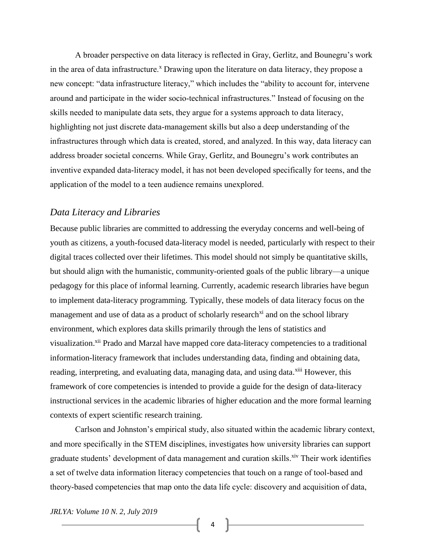A broader perspective on data literacy is reflected in Gray, Gerlitz, and Bounegru's work in the area of data infrastructure.<sup>x</sup> Drawing upon the literature on data literacy, they propose a new concept: "data infrastructure literacy," which includes the "ability to account for, intervene around and participate in the wider socio-technical infrastructures." Instead of focusing on the skills needed to manipulate data sets, they argue for a systems approach to data literacy, highlighting not just discrete data-management skills but also a deep understanding of the infrastructures through which data is created, stored, and analyzed. In this way, data literacy can address broader societal concerns. While Gray, Gerlitz, and Bounegru's work contributes an inventive expanded data-literacy model, it has not been developed specifically for teens, and the application of the model to a teen audience remains unexplored.

#### *Data Literacy and Libraries*

Because public libraries are committed to addressing the everyday concerns and well-being of youth as citizens, a youth-focused data-literacy model is needed, particularly with respect to their digital traces collected over their lifetimes. This model should not simply be quantitative skills, but should align with the humanistic, community-oriented goals of the public library—a unique pedagogy for this place of informal learning. Currently, academic research libraries have begun to implement data-literacy programming. Typically, these models of data literacy focus on the management and use of data as a product of scholarly research<sup> $xi$ </sup> and on the school library environment, which explores data skills primarily through the lens of statistics and visualization.<sup>xii</sup> Prado and Marzal have mapped core data-literacy competencies to a traditional information-literacy framework that includes understanding data, finding and obtaining data, reading, interpreting, and evaluating data, managing data, and using data. Xiii However, this framework of core competencies is intended to provide a guide for the design of data-literacy instructional services in the academic libraries of higher education and the more formal learning contexts of expert scientific research training.

Carlson and Johnston's empirical study, also situated within the academic library context, and more specifically in the STEM disciplines, investigates how university libraries can support graduate students' development of data management and curation skills. Xiv Their work identifies a set of twelve data information literacy competencies that touch on a range of tool-based and theory-based competencies that map onto the data life cycle: discovery and acquisition of data,

*JRLYA: Volume 10 N. 2, July 2019*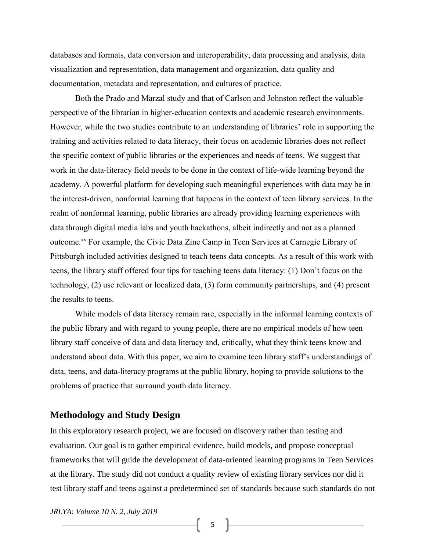databases and formats, data conversion and interoperability, data processing and analysis, data visualization and representation, data management and organization, data quality and documentation, metadata and representation, and cultures of practice.

Both the Prado and Marzal study and that of Carlson and Johnston reflect the valuable perspective of the librarian in higher-education contexts and academic research environments. However, while the two studies contribute to an understanding of libraries' role in supporting the training and activities related to data literacy, their focus on academic libraries does not reflect the specific context of public libraries or the experiences and needs of teens. We suggest that work in the data-literacy field needs to be done in the context of life-wide learning beyond the academy. A powerful platform for developing such meaningful experiences with data may be in the interest-driven, nonformal learning that happens in the context of teen library services. In the realm of nonformal learning, public libraries are already providing learning experiences with data through digital media labs and youth hackathons, albeit indirectly and not as a planned outcome.<sup>xv</sup> For example, the Civic Data Zine Camp in Teen Services at Carnegie Library of Pittsburgh included activities designed to teach teens data concepts. As a result of this work with teens, the library staff offered four tips for teaching teens data literacy: (1) Don't focus on the technology, (2) use relevant or localized data, (3) form community partnerships, and (4) present the results to teens.

While models of data literacy remain rare, especially in the informal learning contexts of the public library and with regard to young people, there are no empirical models of how teen library staff conceive of data and data literacy and, critically, what they think teens know and understand about data. With this paper, we aim to examine teen library staff's understandings of data, teens, and data-literacy programs at the public library, hoping to provide solutions to the problems of practice that surround youth data literacy.

#### **Methodology and Study Design**

In this exploratory research project, we are focused on discovery rather than testing and evaluation. Our goal is to gather empirical evidence, build models, and propose conceptual frameworks that will guide the development of data-oriented learning programs in Teen Services at the library. The study did not conduct a quality review of existing library services nor did it test library staff and teens against a predetermined set of standards because such standards do not

*JRLYA: Volume 10 N. 2, July 2019*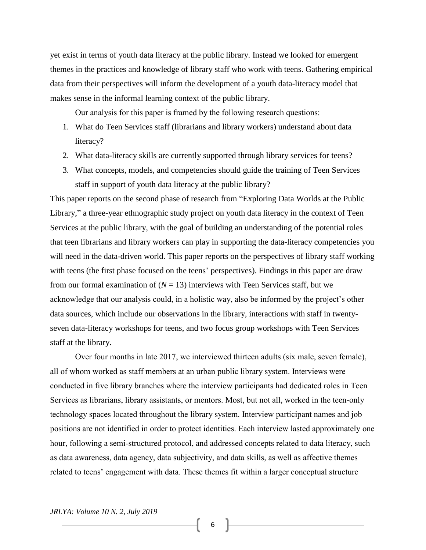yet exist in terms of youth data literacy at the public library. Instead we looked for emergent themes in the practices and knowledge of library staff who work with teens. Gathering empirical data from their perspectives will inform the development of a youth data-literacy model that makes sense in the informal learning context of the public library.

Our analysis for this paper is framed by the following research questions:

- 1. What do Teen Services staff (librarians and library workers) understand about data literacy?
- 2. What data-literacy skills are currently supported through library services for teens?
- 3. What concepts, models, and competencies should guide the training of Teen Services staff in support of youth data literacy at the public library?

This paper reports on the second phase of research from "Exploring Data Worlds at the Public Library," a three-year ethnographic study project on youth data literacy in the context of Teen Services at the public library, with the goal of building an understanding of the potential roles that teen librarians and library workers can play in supporting the data-literacy competencies you will need in the data-driven world. This paper reports on the perspectives of library staff working with teens (the first phase focused on the teens' perspectives). Findings in this paper are draw from our formal examination of  $(N = 13)$  interviews with Teen Services staff, but we acknowledge that our analysis could, in a holistic way, also be informed by the project's other data sources, which include our observations in the library, interactions with staff in twentyseven data-literacy workshops for teens, and two focus group workshops with Teen Services staff at the library.

Over four months in late 2017, we interviewed thirteen adults (six male, seven female), all of whom worked as staff members at an urban public library system. Interviews were conducted in five library branches where the interview participants had dedicated roles in Teen Services as librarians, library assistants, or mentors. Most, but not all, worked in the teen-only technology spaces located throughout the library system. Interview participant names and job positions are not identified in order to protect identities. Each interview lasted approximately one hour, following a semi-structured protocol, and addressed concepts related to data literacy, such as data awareness, data agency, data subjectivity, and data skills, as well as affective themes related to teens' engagement with data. These themes fit within a larger conceptual structure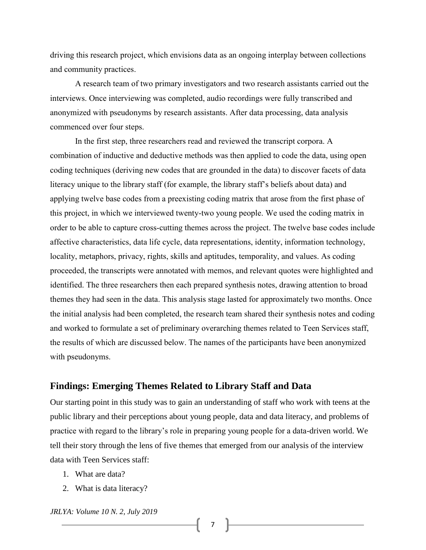driving this research project, which envisions data as an ongoing interplay between collections and community practices.

A research team of two primary investigators and two research assistants carried out the interviews. Once interviewing was completed, audio recordings were fully transcribed and anonymized with pseudonyms by research assistants. After data processing, data analysis commenced over four steps.

In the first step, three researchers read and reviewed the transcript corpora. A combination of inductive and deductive methods was then applied to code the data, using open coding techniques (deriving new codes that are grounded in the data) to discover facets of data literacy unique to the library staff (for example, the library staff's beliefs about data) and applying twelve base codes from a preexisting coding matrix that arose from the first phase of this project, in which we interviewed twenty-two young people. We used the coding matrix in order to be able to capture cross-cutting themes across the project. The twelve base codes include affective characteristics, data life cycle, data representations, identity, information technology, locality, metaphors, privacy, rights, skills and aptitudes, temporality, and values. As coding proceeded, the transcripts were annotated with memos, and relevant quotes were highlighted and identified. The three researchers then each prepared synthesis notes, drawing attention to broad themes they had seen in the data. This analysis stage lasted for approximately two months. Once the initial analysis had been completed, the research team shared their synthesis notes and coding and worked to formulate a set of preliminary overarching themes related to Teen Services staff, the results of which are discussed below. The names of the participants have been anonymized with pseudonyms.

#### **Findings: Emerging Themes Related to Library Staff and Data**

Our starting point in this study was to gain an understanding of staff who work with teens at the public library and their perceptions about young people, data and data literacy, and problems of practice with regard to the library's role in preparing young people for a data-driven world. We tell their story through the lens of five themes that emerged from our analysis of the interview data with Teen Services staff:

- 1. What are data?
- 2. What is data literacy?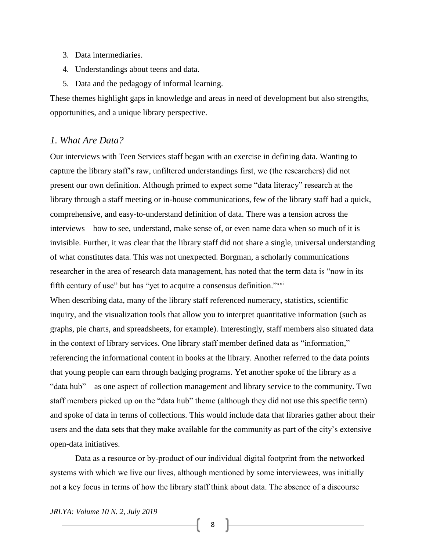- 3. Data intermediaries.
- 4. Understandings about teens and data.
- 5. Data and the pedagogy of informal learning.

These themes highlight gaps in knowledge and areas in need of development but also strengths, opportunities, and a unique library perspective.

#### *1. What Are Data?*

Our interviews with Teen Services staff began with an exercise in defining data. Wanting to capture the library staff's raw, unfiltered understandings first, we (the researchers) did not present our own definition. Although primed to expect some "data literacy" research at the library through a staff meeting or in-house communications, few of the library staff had a quick, comprehensive, and easy-to-understand definition of data. There was a tension across the interviews—how to see, understand, make sense of, or even name data when so much of it is invisible. Further, it was clear that the library staff did not share a single, universal understanding of what constitutes data. This was not unexpected. Borgman, a scholarly communications researcher in the area of research data management, has noted that the term data is "now in its fifth century of use" but has "yet to acquire a consensus definition."<sup>xvi</sup>

When describing data, many of the library staff referenced numeracy, statistics, scientific inquiry, and the visualization tools that allow you to interpret quantitative information (such as graphs, pie charts, and spreadsheets, for example). Interestingly, staff members also situated data in the context of library services. One library staff member defined data as "information," referencing the informational content in books at the library. Another referred to the data points that young people can earn through badging programs. Yet another spoke of the library as a "data hub"—as one aspect of collection management and library service to the community. Two staff members picked up on the "data hub" theme (although they did not use this specific term) and spoke of data in terms of collections. This would include data that libraries gather about their users and the data sets that they make available for the community as part of the city's extensive open-data initiatives.

Data as a resource or by-product of our individual digital footprint from the networked systems with which we live our lives, although mentioned by some interviewees, was initially not a key focus in terms of how the library staff think about data. The absence of a discourse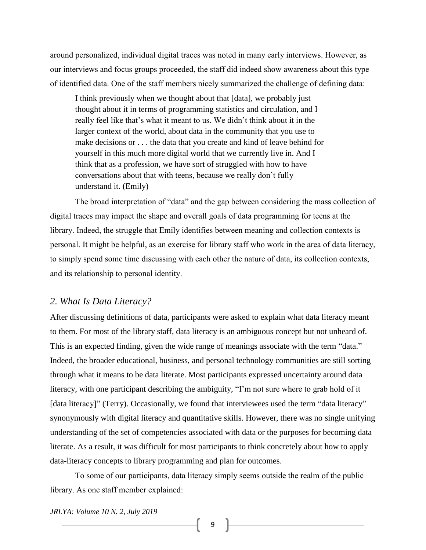around personalized, individual digital traces was noted in many early interviews. However, as our interviews and focus groups proceeded, the staff did indeed show awareness about this type of identified data. One of the staff members nicely summarized the challenge of defining data:

I think previously when we thought about that [data], we probably just thought about it in terms of programming statistics and circulation, and I really feel like that's what it meant to us. We didn't think about it in the larger context of the world, about data in the community that you use to make decisions or . . . the data that you create and kind of leave behind for yourself in this much more digital world that we currently live in. And I think that as a profession, we have sort of struggled with how to have conversations about that with teens, because we really don't fully understand it. (Emily)

The broad interpretation of "data" and the gap between considering the mass collection of digital traces may impact the shape and overall goals of data programming for teens at the library. Indeed, the struggle that Emily identifies between meaning and collection contexts is personal. It might be helpful, as an exercise for library staff who work in the area of data literacy, to simply spend some time discussing with each other the nature of data, its collection contexts, and its relationship to personal identity.

#### *2. What Is Data Literacy?*

After discussing definitions of data, participants were asked to explain what data literacy meant to them. For most of the library staff, data literacy is an ambiguous concept but not unheard of. This is an expected finding, given the wide range of meanings associate with the term "data." Indeed, the broader educational, business, and personal technology communities are still sorting through what it means to be data literate. Most participants expressed uncertainty around data literacy, with one participant describing the ambiguity, "I'm not sure where to grab hold of it [data literacy]" (Terry). Occasionally, we found that interviewees used the term "data literacy" synonymously with digital literacy and quantitative skills. However, there was no single unifying understanding of the set of competencies associated with data or the purposes for becoming data literate. As a result, it was difficult for most participants to think concretely about how to apply data-literacy concepts to library programming and plan for outcomes.

To some of our participants, data literacy simply seems outside the realm of the public library. As one staff member explained:

*JRLYA: Volume 10 N. 2, July 2019*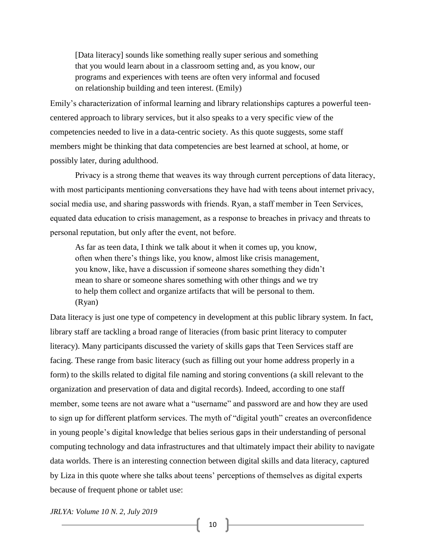[Data literacy] sounds like something really super serious and something that you would learn about in a classroom setting and, as you know, our programs and experiences with teens are often very informal and focused on relationship building and teen interest. (Emily)

Emily's characterization of informal learning and library relationships captures a powerful teencentered approach to library services, but it also speaks to a very specific view of the competencies needed to live in a data-centric society. As this quote suggests, some staff members might be thinking that data competencies are best learned at school, at home, or possibly later, during adulthood.

Privacy is a strong theme that weaves its way through current perceptions of data literacy, with most participants mentioning conversations they have had with teens about internet privacy, social media use, and sharing passwords with friends. Ryan, a staff member in Teen Services, equated data education to crisis management, as a response to breaches in privacy and threats to personal reputation, but only after the event, not before.

As far as teen data, I think we talk about it when it comes up, you know, often when there's things like, you know, almost like crisis management, you know, like, have a discussion if someone shares something they didn't mean to share or someone shares something with other things and we try to help them collect and organize artifacts that will be personal to them. (Ryan)

Data literacy is just one type of competency in development at this public library system. In fact, library staff are tackling a broad range of literacies (from basic print literacy to computer literacy). Many participants discussed the variety of skills gaps that Teen Services staff are facing. These range from basic literacy (such as filling out your home address properly in a form) to the skills related to digital file naming and storing conventions (a skill relevant to the organization and preservation of data and digital records). Indeed, according to one staff member, some teens are not aware what a "username" and password are and how they are used to sign up for different platform services. The myth of "digital youth" creates an overconfidence in young people's digital knowledge that belies serious gaps in their understanding of personal computing technology and data infrastructures and that ultimately impact their ability to navigate data worlds. There is an interesting connection between digital skills and data literacy, captured by Liza in this quote where she talks about teens' perceptions of themselves as digital experts because of frequent phone or tablet use: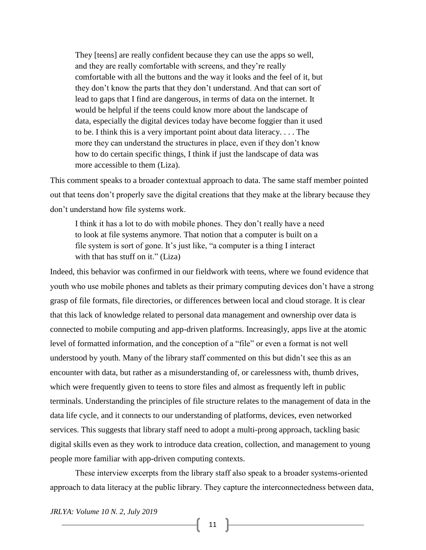They [teens] are really confident because they can use the apps so well, and they are really comfortable with screens, and they're really comfortable with all the buttons and the way it looks and the feel of it, but they don't know the parts that they don't understand. And that can sort of lead to gaps that I find are dangerous, in terms of data on the internet. It would be helpful if the teens could know more about the landscape of data, especially the digital devices today have become foggier than it used to be. I think this is a very important point about data literacy. . . . The more they can understand the structures in place, even if they don't know how to do certain specific things, I think if just the landscape of data was more accessible to them (Liza).

This comment speaks to a broader contextual approach to data. The same staff member pointed out that teens don't properly save the digital creations that they make at the library because they don't understand how file systems work.

I think it has a lot to do with mobile phones. They don't really have a need to look at file systems anymore. That notion that a computer is built on a file system is sort of gone. It's just like, "a computer is a thing I interact with that has stuff on it." (Liza)

Indeed, this behavior was confirmed in our fieldwork with teens, where we found evidence that youth who use mobile phones and tablets as their primary computing devices don't have a strong grasp of file formats, file directories, or differences between local and cloud storage. It is clear that this lack of knowledge related to personal data management and ownership over data is connected to mobile computing and app-driven platforms. Increasingly, apps live at the atomic level of formatted information, and the conception of a "file" or even a format is not well understood by youth. Many of the library staff commented on this but didn't see this as an encounter with data, but rather as a misunderstanding of, or carelessness with, thumb drives, which were frequently given to teens to store files and almost as frequently left in public terminals. Understanding the principles of file structure relates to the management of data in the data life cycle, and it connects to our understanding of platforms, devices, even networked services. This suggests that library staff need to adopt a multi-prong approach, tackling basic digital skills even as they work to introduce data creation, collection, and management to young people more familiar with app-driven computing contexts.

These interview excerpts from the library staff also speak to a broader systems-oriented approach to data literacy at the public library. They capture the interconnectedness between data,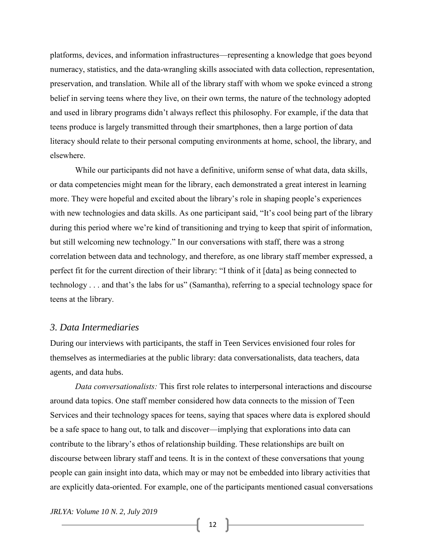platforms, devices, and information infrastructures—representing a knowledge that goes beyond numeracy, statistics, and the data-wrangling skills associated with data collection, representation, preservation, and translation. While all of the library staff with whom we spoke evinced a strong belief in serving teens where they live, on their own terms, the nature of the technology adopted and used in library programs didn't always reflect this philosophy. For example, if the data that teens produce is largely transmitted through their smartphones, then a large portion of data literacy should relate to their personal computing environments at home, school, the library, and elsewhere.

While our participants did not have a definitive, uniform sense of what data, data skills, or data competencies might mean for the library, each demonstrated a great interest in learning more. They were hopeful and excited about the library's role in shaping people's experiences with new technologies and data skills. As one participant said, "It's cool being part of the library during this period where we're kind of transitioning and trying to keep that spirit of information, but still welcoming new technology." In our conversations with staff, there was a strong correlation between data and technology, and therefore, as one library staff member expressed, a perfect fit for the current direction of their library: "I think of it [data] as being connected to technology . . . and that's the labs for us" (Samantha), referring to a special technology space for teens at the library.

#### *3. Data Intermediaries*

During our interviews with participants, the staff in Teen Services envisioned four roles for themselves as intermediaries at the public library: data conversationalists, data teachers, data agents, and data hubs.

*Data conversationalists:* This first role relates to interpersonal interactions and discourse around data topics. One staff member considered how data connects to the mission of Teen Services and their technology spaces for teens, saying that spaces where data is explored should be a safe space to hang out, to talk and discover—implying that explorations into data can contribute to the library's ethos of relationship building. These relationships are built on discourse between library staff and teens. It is in the context of these conversations that young people can gain insight into data, which may or may not be embedded into library activities that are explicitly data-oriented. For example, one of the participants mentioned casual conversations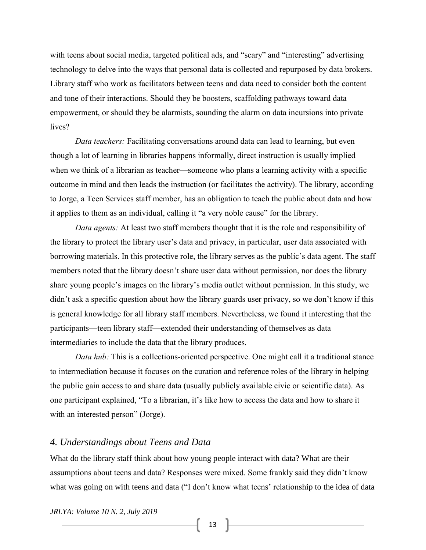with teens about social media, targeted political ads, and "scary" and "interesting" advertising technology to delve into the ways that personal data is collected and repurposed by data brokers. Library staff who work as facilitators between teens and data need to consider both the content and tone of their interactions. Should they be boosters, scaffolding pathways toward data empowerment, or should they be alarmists, sounding the alarm on data incursions into private lives?

*Data teachers:* Facilitating conversations around data can lead to learning, but even though a lot of learning in libraries happens informally, direct instruction is usually implied when we think of a librarian as teacher—someone who plans a learning activity with a specific outcome in mind and then leads the instruction (or facilitates the activity). The library, according to Jorge, a Teen Services staff member, has an obligation to teach the public about data and how it applies to them as an individual, calling it "a very noble cause" for the library.

*Data agents:* At least two staff members thought that it is the role and responsibility of the library to protect the library user's data and privacy, in particular, user data associated with borrowing materials. In this protective role, the library serves as the public's data agent. The staff members noted that the library doesn't share user data without permission, nor does the library share young people's images on the library's media outlet without permission. In this study, we didn't ask a specific question about how the library guards user privacy, so we don't know if this is general knowledge for all library staff members. Nevertheless, we found it interesting that the participants—teen library staff—extended their understanding of themselves as data intermediaries to include the data that the library produces.

*Data hub:* This is a collections-oriented perspective. One might call it a traditional stance to intermediation because it focuses on the curation and reference roles of the library in helping the public gain access to and share data (usually publicly available civic or scientific data). As one participant explained, "To a librarian, it's like how to access the data and how to share it with an interested person" (Jorge).

#### *4. Understandings about Teens and Data*

What do the library staff think about how young people interact with data? What are their assumptions about teens and data? Responses were mixed. Some frankly said they didn't know what was going on with teens and data ("I don't know what teens' relationship to the idea of data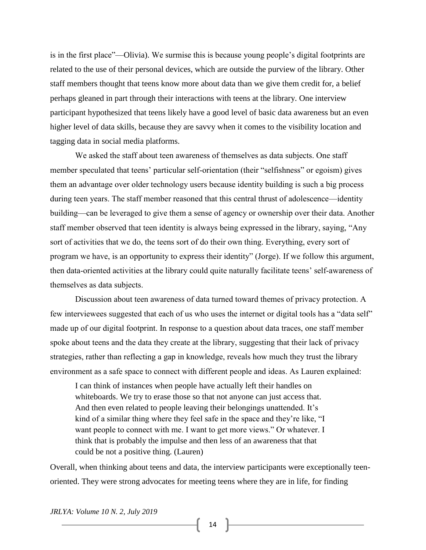is in the first place"—Olivia). We surmise this is because young people's digital footprints are related to the use of their personal devices, which are outside the purview of the library. Other staff members thought that teens know more about data than we give them credit for, a belief perhaps gleaned in part through their interactions with teens at the library. One interview participant hypothesized that teens likely have a good level of basic data awareness but an even higher level of data skills, because they are savvy when it comes to the visibility location and tagging data in social media platforms.

We asked the staff about teen awareness of themselves as data subjects. One staff member speculated that teens' particular self-orientation (their "selfishness" or egoism) gives them an advantage over older technology users because identity building is such a big process during teen years. The staff member reasoned that this central thrust of adolescence—identity building—can be leveraged to give them a sense of agency or ownership over their data. Another staff member observed that teen identity is always being expressed in the library, saying, "Any sort of activities that we do, the teens sort of do their own thing. Everything, every sort of program we have, is an opportunity to express their identity" (Jorge). If we follow this argument, then data-oriented activities at the library could quite naturally facilitate teens' self-awareness of themselves as data subjects.

Discussion about teen awareness of data turned toward themes of privacy protection. A few interviewees suggested that each of us who uses the internet or digital tools has a "data self" made up of our digital footprint. In response to a question about data traces, one staff member spoke about teens and the data they create at the library, suggesting that their lack of privacy strategies, rather than reflecting a gap in knowledge, reveals how much they trust the library environment as a safe space to connect with different people and ideas. As Lauren explained:

I can think of instances when people have actually left their handles on whiteboards. We try to erase those so that not anyone can just access that. And then even related to people leaving their belongings unattended. It's kind of a similar thing where they feel safe in the space and they're like, "I want people to connect with me. I want to get more views." Or whatever. I think that is probably the impulse and then less of an awareness that that could be not a positive thing. (Lauren)

Overall, when thinking about teens and data, the interview participants were exceptionally teenoriented. They were strong advocates for meeting teens where they are in life, for finding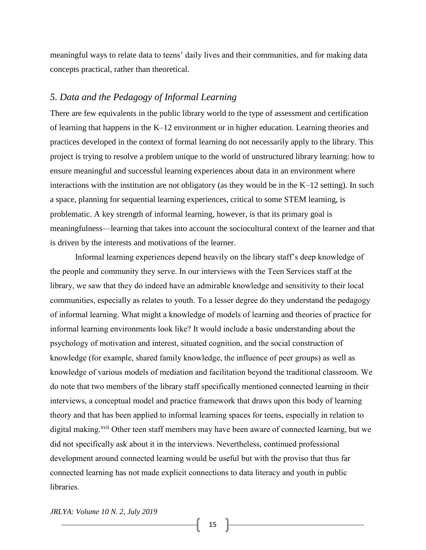meaningful ways to relate data to teens' daily lives and their communities, and for making data concepts practical, rather than theoretical.

#### *5. Data and the Pedagogy of Informal Learning*

There are few equivalents in the public library world to the type of assessment and certification of learning that happens in the K–12 environment or in higher education. Learning theories and practices developed in the context of formal learning do not necessarily apply to the library. This project is trying to resolve a problem unique to the world of unstructured library learning: how to ensure meaningful and successful learning experiences about data in an environment where interactions with the institution are not obligatory (as they would be in the K–12 setting). In such a space, planning for sequential learning experiences, critical to some STEM learning, is problematic. A key strength of informal learning, however, is that its primary goal is meaningfulness—learning that takes into account the sociocultural context of the learner and that is driven by the interests and motivations of the learner.

Informal learning experiences depend heavily on the library staff's deep knowledge of the people and community they serve. In our interviews with the Teen Services staff at the library, we saw that they do indeed have an admirable knowledge and sensitivity to their local communities, especially as relates to youth. To a lesser degree do they understand the pedagogy of informal learning. What might a knowledge of models of learning and theories of practice for informal learning environments look like? It would include a basic understanding about the psychology of motivation and interest, situated cognition, and the social construction of knowledge (for example, shared family knowledge, the influence of peer groups) as well as knowledge of various models of mediation and facilitation beyond the traditional classroom. We do note that two members of the library staff specifically mentioned connected learning in their interviews, a conceptual model and practice framework that draws upon this body of learning theory and that has been applied to informal learning spaces for teens, especially in relation to digital making.<sup>xvii</sup> Other teen staff members may have been aware of connected learning, but we did not specifically ask about it in the interviews. Nevertheless, continued professional development around connected learning would be useful but with the proviso that thus far connected learning has not made explicit connections to data literacy and youth in public libraries.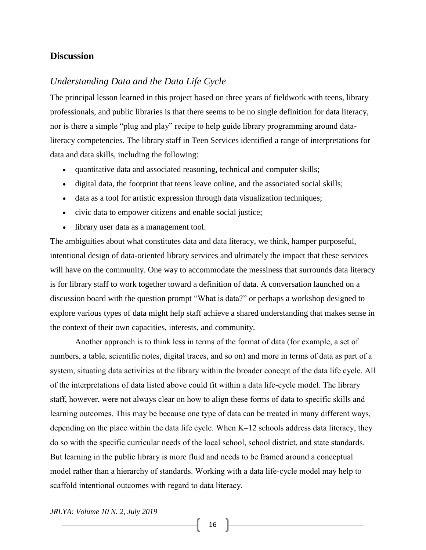#### **Discussion**

# *Understanding Data and the Data Life Cycle*

The principal lesson learned in this project based on three years of fieldwork with teens, library professionals, and public libraries is that there seems to be no single definition for data literacy, nor is there a simple "plug and play" recipe to help guide library programming around dataliteracy competencies. The library staff in Teen Services identified a range of interpretations for data and data skills, including the following:

- quantitative data and associated reasoning, technical and computer skills;
- digital data, the footprint that teens leave online, and the associated social skills;
- data as a tool for artistic expression through data visualization techniques;
- civic data to empower citizens and enable social justice;
- library user data as a management tool.

The ambiguities about what constitutes data and data literacy, we think, hamper purposeful, intentional design of data-oriented library services and ultimately the impact that these services will have on the community. One way to accommodate the messiness that surrounds data literacy is for library staff to work together toward a definition of data. A conversation launched on a discussion board with the question prompt "What is data?" or perhaps a workshop designed to explore various types of data might help staff achieve a shared understanding that makes sense in the context of their own capacities, interests, and community.

Another approach is to think less in terms of the format of data (for example, a set of numbers, a table, scientific notes, digital traces, and so on) and more in terms of data as part of a system, situating data activities at the library within the broader concept of the data life cycle. All of the interpretations of data listed above could fit within a data life-cycle model. The library staff, however, were not always clear on how to align these forms of data to specific skills and learning outcomes. This may be because one type of data can be treated in many different ways, depending on the place within the data life cycle. When K–12 schools address data literacy, they do so with the specific curricular needs of the local school, school district, and state standards. But learning in the public library is more fluid and needs to be framed around a conceptual model rather than a hierarchy of standards. Working with a data life-cycle model may help to scaffold intentional outcomes with regard to data literacy.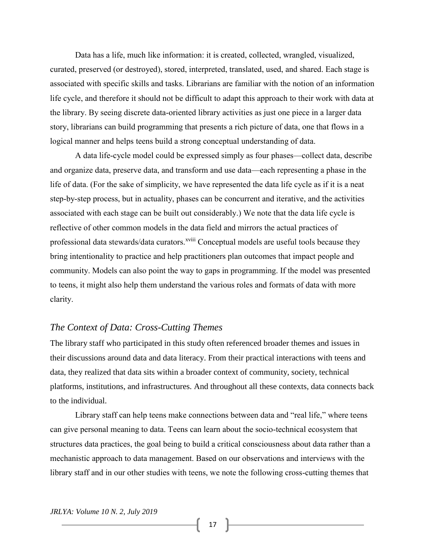Data has a life, much like information: it is created, collected, wrangled, visualized, curated, preserved (or destroyed), stored, interpreted, translated, used, and shared. Each stage is associated with specific skills and tasks. Librarians are familiar with the notion of an information life cycle, and therefore it should not be difficult to adapt this approach to their work with data at the library. By seeing discrete data-oriented library activities as just one piece in a larger data story, librarians can build programming that presents a rich picture of data, one that flows in a logical manner and helps teens build a strong conceptual understanding of data.

A data life-cycle model could be expressed simply as four phases—collect data, describe and organize data, preserve data, and transform and use data—each representing a phase in the life of data. (For the sake of simplicity, we have represented the data life cycle as if it is a neat step-by-step process, but in actuality, phases can be concurrent and iterative, and the activities associated with each stage can be built out considerably.) We note that the data life cycle is reflective of other common models in the data field and mirrors the actual practices of professional data stewards/data curators. Xviii Conceptual models are useful tools because they bring intentionality to practice and help practitioners plan outcomes that impact people and community. Models can also point the way to gaps in programming. If the model was presented to teens, it might also help them understand the various roles and formats of data with more clarity.

#### *The Context of Data: Cross-Cutting Themes*

The library staff who participated in this study often referenced broader themes and issues in their discussions around data and data literacy. From their practical interactions with teens and data, they realized that data sits within a broader context of community, society, technical platforms, institutions, and infrastructures. And throughout all these contexts, data connects back to the individual.

Library staff can help teens make connections between data and "real life," where teens can give personal meaning to data. Teens can learn about the socio-technical ecosystem that structures data practices, the goal being to build a critical consciousness about data rather than a mechanistic approach to data management. Based on our observations and interviews with the library staff and in our other studies with teens, we note the following cross-cutting themes that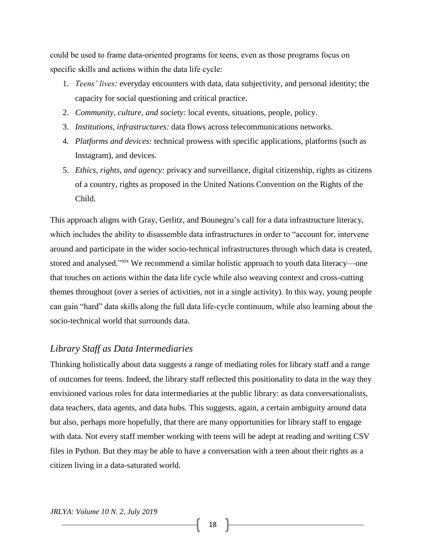could be used to frame data-oriented programs for teens, even as those programs focus on specific skills and actions within the data life cycle:

- 1. *Teens' lives:* everyday encounters with data, data subjectivity, and personal identity; the capacity for social questioning and critical practice.
- 2. *Community, culture, and society:* local events, situations, people, policy.
- 3. *Institutions, infrastructures:* data flows across telecommunications networks.
- 4. *Platforms and devices:* technical prowess with specific applications, platforms (such as Instagram), and devices.
- 5. *Ethics, rights, and agency:* privacy and surveillance, digital citizenship, rights as citizens of a country, rights as proposed in the United Nations Convention on the Rights of the Child.

This approach aligns with Gray, Gerlitz, and Bounegru's call for a data infrastructure literacy, which includes the ability to disassemble data infrastructures in order to "account for, intervene around and participate in the wider socio-technical infrastructures through which data is created, stored and analysed."<sup>xix</sup> We recommend a similar holistic approach to youth data literacy—one that touches on actions within the data life cycle while also weaving context and cross-cutting themes throughout (over a series of activities, not in a single activity). In this way, young people can gain "hard" data skills along the full data life-cycle continuum, while also learning about the socio-technical world that surrounds data.

#### *Library Staff as Data Intermediaries*

Thinking holistically about data suggests a range of mediating roles for library staff and a range of outcomes for teens. Indeed, the library staff reflected this positionality to data in the way they envisioned various roles for data intermediaries at the public library: as data conversationalists, data teachers, data agents, and data hubs. This suggests, again, a certain ambiguity around data but also, perhaps more hopefully, that there are many opportunities for library staff to engage with data. Not every staff member working with teens will be adept at reading and writing CSV files in Python. But they may be able to have a conversation with a teen about their rights as a citizen living in a data-saturated world.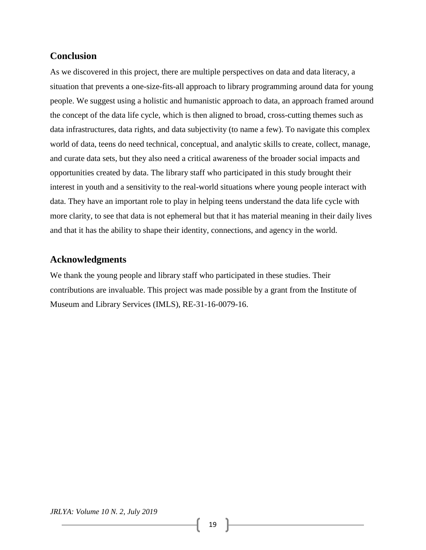# **Conclusion**

As we discovered in this project, there are multiple perspectives on data and data literacy, a situation that prevents a one-size-fits-all approach to library programming around data for young people. We suggest using a holistic and humanistic approach to data, an approach framed around the concept of the data life cycle, which is then aligned to broad, cross-cutting themes such as data infrastructures, data rights, and data subjectivity (to name a few). To navigate this complex world of data, teens do need technical, conceptual, and analytic skills to create, collect, manage, and curate data sets, but they also need a critical awareness of the broader social impacts and opportunities created by data. The library staff who participated in this study brought their interest in youth and a sensitivity to the real-world situations where young people interact with data. They have an important role to play in helping teens understand the data life cycle with more clarity, to see that data is not ephemeral but that it has material meaning in their daily lives and that it has the ability to shape their identity, connections, and agency in the world.

## **Acknowledgments**

We thank the young people and library staff who participated in these studies. Their contributions are invaluable. This project was made possible by a grant from the Institute of Museum and Library Services (IMLS), RE-31-16-0079-16.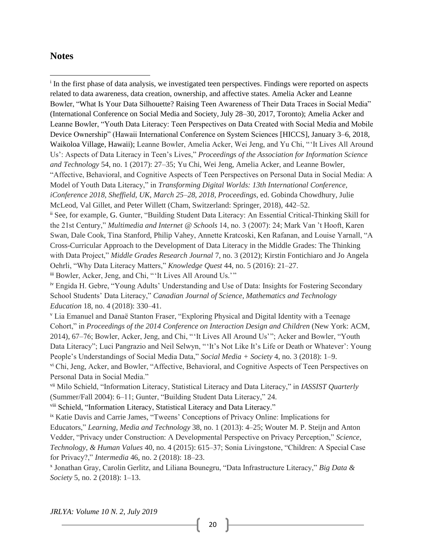#### **Notes**

l

<sup>i</sup> In the first phase of data analysis, we investigated teen perspectives. Findings were reported on aspects related to data awareness, data creation, ownership, and affective states. Amelia Acker and Leanne Bowler, "What Is Your Data Silhouette? Raising Teen Awareness of Their Data Traces in Social Media" (International Conference on Social Media and Society, July 28–30, 2017, Toronto); Amelia Acker and Leanne Bowler, "Youth Data Literacy: Teen Perspectives on Data Created with Social Media and Mobile Device Ownership" (Hawaii International Conference on System Sciences [HICCS], January 3–6, 2018, Waikoloa Village, Hawaii); Leanne Bowler, Amelia Acker, Wei Jeng, and Yu Chi, " 'It Lives All Around Us': Aspects of Data Literacy in Teen's Lives," *Proceedings of the Association for Information Science and Technology* 54, no. 1 (2017): 27–35; Yu Chi, Wei Jeng, Amelia Acker, and Leanne Bowler, "Affective, Behavioral, and Cognitive Aspects of Teen Perspectives on Personal Data in Social Media: A Model of Youth Data Literacy," in *Transforming Digital Worlds: 13th International Conference, iConference 2018, Sheffield, UK, March 25–28, 2018, Proceedings*, ed. Gobinda Chowdhury, Julie McLeod, Val Gillet, and Peter Willett (Cham, Switzerland: Springer, 2018), 442–52. ii See, for example, G. Gunter, "Building Student Data Literacy: An Essential Critical-Thinking Skill for the 21st Century," *Multimedia and Internet @ Schools* 14, no. 3 (2007): 24; Mark Van 't Hooft, Karen Swan, Dale Cook, Tina Stanford, Philip Vahey, Annette Kratcoski, Ken Rafanan, and Louise Yarnall, "A Cross-Curricular Approach to the Development of Data Literacy in the Middle Grades: The Thinking with Data Project," *Middle Grades Research Journal* 7, no. 3 (2012); Kirstin Fontichiaro and Jo Angela Oehrli, "Why Data Literacy Matters," *Knowledge Quest* 44, no. 5 (2016): 21–27. iii Bowler, Acker, Jeng, and Chi, " 'It Lives All Around Us.' "

iv Engida H. Gebre, "Young Adults' Understanding and Use of Data: Insights for Fostering Secondary School Students' Data Literacy," *Canadian Journal of Science, Mathematics and Technology Education* 18, no. 4 (2018): 330–41.

<sup>v</sup> Lia Emanuel and Danaë Stanton Fraser, "Exploring Physical and Digital Identity with a Teenage Cohort," in *Proceedings of the 2014 Conference on Interaction Design and Children* (New York: ACM, 2014), 67–76; Bowler, Acker, Jeng, and Chi, " 'It Lives All Around Us' "; Acker and Bowler, "Youth Data Literacy"; Luci Pangrazio and Neil Selwyn, " 'It's Not Like It's Life or Death or Whatever': Young People's Understandings of Social Media Data," *Social Media + Society* 4, no. 3 (2018): 1–9. vi Chi, Jeng, Acker, and Bowler, "Affective, Behavioral, and Cognitive Aspects of Teen Perspectives on Personal Data in Social Media."

vii Milo Schield, "Information Literacy, Statistical Literacy and Data Literacy," in *IASSIST Quarterly*  (Summer/Fall 2004): 6–11; Gunter, "Building Student Data Literacy," 24.

viii Schield, "Information Literacy, Statistical Literacy and Data Literacy."

ix Katie Davis and Carrie James, "Tweens' Conceptions of Privacy Online: Implications for Educators," *Learning, Media and Technology* 38, no. 1 (2013): 4–25; Wouter M. P. Steijn and Anton Vedder, "Privacy under Construction: A Developmental Perspective on Privacy Perception," *Science, Technology, & Human Values* 40, no. 4 (2015): 615–37; Sonia Livingstone, "Children: A Special Case for Privacy?," *Intermedia* 46, no. 2 (2018): 18–23.

x Jonathan Gray, Carolin Gerlitz, and Liliana Bounegru, "Data Infrastructure Literacy," *Big Data & Society* 5, no. 2 (2018): 1–13.